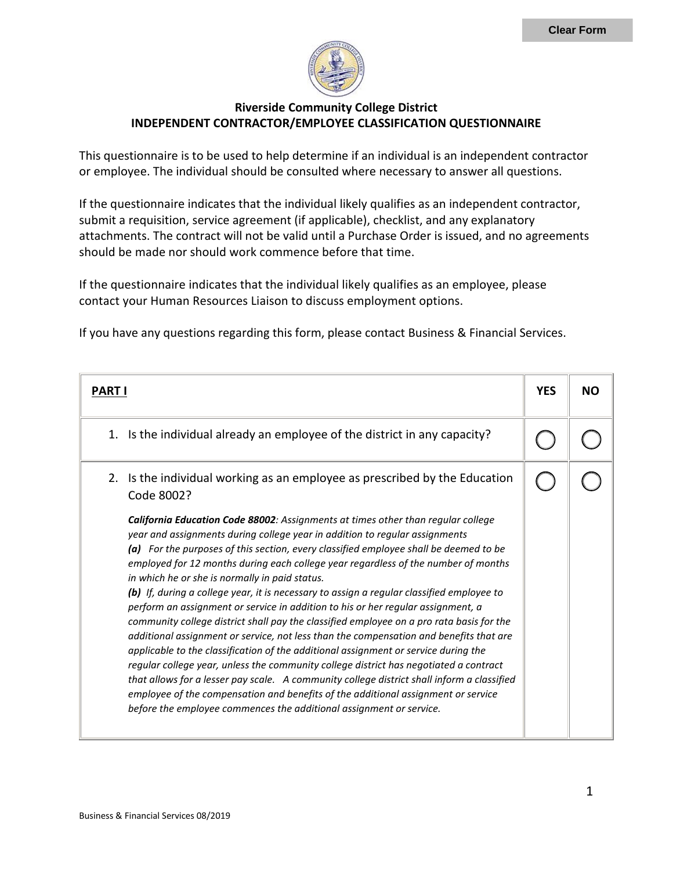

## **Riverside Community College District INDEPENDENT CONTRACTOR/EMPLOYEE CLASSIFICATION QUESTIONNAIRE**

This questionnaire is to be used to help determine if an individual is an independent contractor or employee. The individual should be consulted where necessary to answer all questions.

If the questionnaire indicates that the individual likely qualifies as an independent contractor, submit a requisition, service agreement (if applicable), checklist, and any explanatory attachments. The contract will not be valid until a Purchase Order is issued, and no agreements should be made nor should work commence before that time.

If the questionnaire indicates that the individual likely qualifies as an employee, please contact your Human Resources Liaison to discuss employment options.

If you have any questions regarding this form, please contact Business & Financial Services.

| <b>PART I</b>                                                                                                                                                                                                                                                                                                                                                                                                                                                                                                                                                                                                                                                                                                                                                                                                                                                                                                                                                                                                                                                                                                                                                                                                     | <b>YES</b> | NΟ |
|-------------------------------------------------------------------------------------------------------------------------------------------------------------------------------------------------------------------------------------------------------------------------------------------------------------------------------------------------------------------------------------------------------------------------------------------------------------------------------------------------------------------------------------------------------------------------------------------------------------------------------------------------------------------------------------------------------------------------------------------------------------------------------------------------------------------------------------------------------------------------------------------------------------------------------------------------------------------------------------------------------------------------------------------------------------------------------------------------------------------------------------------------------------------------------------------------------------------|------------|----|
| 1. Is the individual already an employee of the district in any capacity?                                                                                                                                                                                                                                                                                                                                                                                                                                                                                                                                                                                                                                                                                                                                                                                                                                                                                                                                                                                                                                                                                                                                         |            |    |
| 2. Is the individual working as an employee as prescribed by the Education<br>Code 8002?                                                                                                                                                                                                                                                                                                                                                                                                                                                                                                                                                                                                                                                                                                                                                                                                                                                                                                                                                                                                                                                                                                                          |            |    |
| California Education Code 88002: Assignments at times other than regular college<br>year and assignments during college year in addition to regular assignments<br>(a) For the purposes of this section, every classified employee shall be deemed to be<br>employed for 12 months during each college year regardless of the number of months<br>in which he or she is normally in paid status.<br>(b) If, during a college year, it is necessary to assign a regular classified employee to<br>perform an assignment or service in addition to his or her regular assignment, a<br>community college district shall pay the classified employee on a pro rata basis for the<br>additional assignment or service, not less than the compensation and benefits that are<br>applicable to the classification of the additional assignment or service during the<br>regular college year, unless the community college district has negotiated a contract<br>that allows for a lesser pay scale. A community college district shall inform a classified<br>employee of the compensation and benefits of the additional assignment or service<br>before the employee commences the additional assignment or service. |            |    |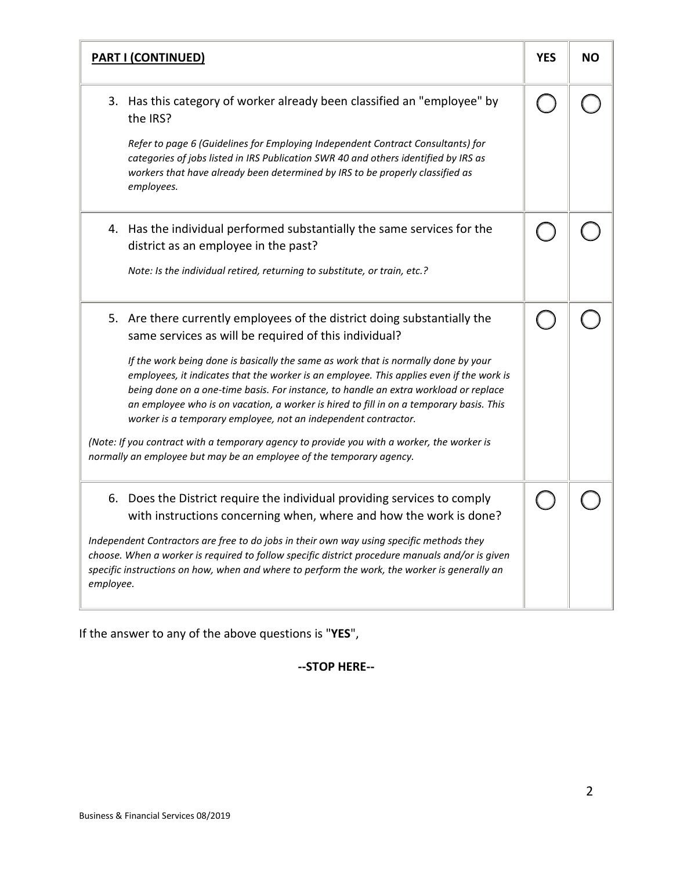|           | <b>PART I (CONTINUED)</b>                                                                                                                                                                                                                                                                                                                                                                                                           | <b>YES</b> | <b>NO</b> |
|-----------|-------------------------------------------------------------------------------------------------------------------------------------------------------------------------------------------------------------------------------------------------------------------------------------------------------------------------------------------------------------------------------------------------------------------------------------|------------|-----------|
|           | 3. Has this category of worker already been classified an "employee" by<br>the IRS?                                                                                                                                                                                                                                                                                                                                                 |            |           |
|           | Refer to page 6 (Guidelines for Employing Independent Contract Consultants) for<br>categories of jobs listed in IRS Publication SWR 40 and others identified by IRS as<br>workers that have already been determined by IRS to be properly classified as<br>employees.                                                                                                                                                               |            |           |
|           | 4. Has the individual performed substantially the same services for the<br>district as an employee in the past?                                                                                                                                                                                                                                                                                                                     |            |           |
|           | Note: Is the individual retired, returning to substitute, or train, etc.?                                                                                                                                                                                                                                                                                                                                                           |            |           |
|           | 5. Are there currently employees of the district doing substantially the<br>same services as will be required of this individual?                                                                                                                                                                                                                                                                                                   |            |           |
|           | If the work being done is basically the same as work that is normally done by your<br>employees, it indicates that the worker is an employee. This applies even if the work is<br>being done on a one-time basis. For instance, to handle an extra workload or replace<br>an employee who is on vacation, a worker is hired to fill in on a temporary basis. This<br>worker is a temporary employee, not an independent contractor. |            |           |
|           | (Note: If you contract with a temporary agency to provide you with a worker, the worker is<br>normally an employee but may be an employee of the temporary agency.                                                                                                                                                                                                                                                                  |            |           |
|           | 6. Does the District require the individual providing services to comply<br>with instructions concerning when, where and how the work is done?                                                                                                                                                                                                                                                                                      |            |           |
| employee. | Independent Contractors are free to do jobs in their own way using specific methods they<br>choose. When a worker is required to follow specific district procedure manuals and/or is given<br>specific instructions on how, when and where to perform the work, the worker is generally an                                                                                                                                         |            |           |

If the answer to any of the above questions is "**YES**",

## **--STOP HERE--**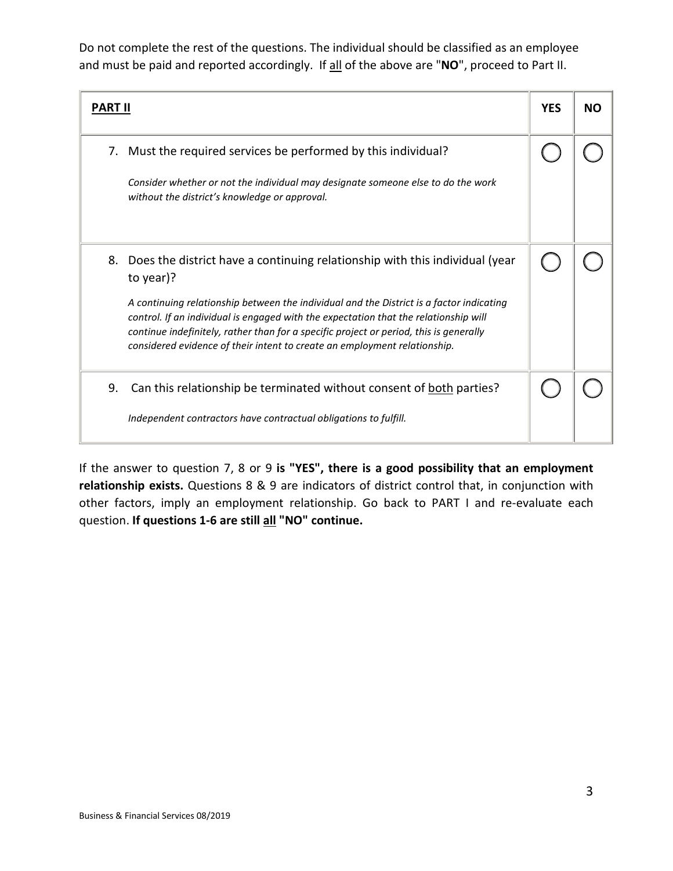Do not complete the rest of the questions. The individual should be classified as an employee and must be paid and reported accordingly. If all of the above are "**NO**", proceed to Part II.

| <b>PART II</b> |                                                                                                                                                                                                                                                                                                                                                                      | <b>YES</b> | NΟ |
|----------------|----------------------------------------------------------------------------------------------------------------------------------------------------------------------------------------------------------------------------------------------------------------------------------------------------------------------------------------------------------------------|------------|----|
| 7.             | Must the required services be performed by this individual?<br>Consider whether or not the individual may designate someone else to do the work<br>without the district's knowledge or approval.                                                                                                                                                                     |            |    |
|                | 8. Does the district have a continuing relationship with this individual (year                                                                                                                                                                                                                                                                                       |            |    |
|                | to year)?<br>A continuing relationship between the individual and the District is a factor indicating<br>control. If an individual is engaged with the expectation that the relationship will<br>continue indefinitely, rather than for a specific project or period, this is generally<br>considered evidence of their intent to create an employment relationship. |            |    |
| 9.             | Can this relationship be terminated without consent of both parties?<br>Independent contractors have contractual obligations to fulfill.                                                                                                                                                                                                                             |            |    |

If the answer to question 7, 8 or 9 **is "YES", there is a good possibility that an employment relationship exists.** Questions 8 & 9 are indicators of district control that, in conjunction with other factors, imply an employment relationship. Go back to PART I and re-evaluate each question. **If questions 1-6 are still all "NO" continue.**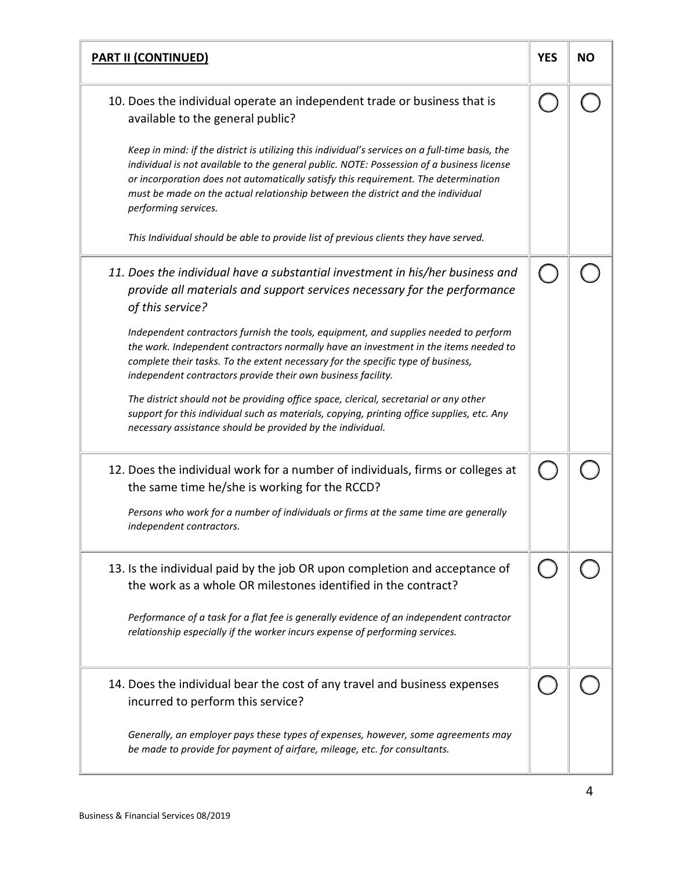| <b>PART II (CONTINUED)</b>                                                                                                                                                                                                                                                                                                                                                                     | <b>YES</b> | <b>NO</b> |
|------------------------------------------------------------------------------------------------------------------------------------------------------------------------------------------------------------------------------------------------------------------------------------------------------------------------------------------------------------------------------------------------|------------|-----------|
| 10. Does the individual operate an independent trade or business that is<br>available to the general public?                                                                                                                                                                                                                                                                                   |            |           |
| Keep in mind: if the district is utilizing this individual's services on a full-time basis, the<br>individual is not available to the general public. NOTE: Possession of a business license<br>or incorporation does not automatically satisfy this requirement. The determination<br>must be made on the actual relationship between the district and the individual<br>performing services. |            |           |
| This Individual should be able to provide list of previous clients they have served.                                                                                                                                                                                                                                                                                                           |            |           |
| 11. Does the individual have a substantial investment in his/her business and<br>provide all materials and support services necessary for the performance<br>of this service?                                                                                                                                                                                                                  |            |           |
| Independent contractors furnish the tools, equipment, and supplies needed to perform<br>the work. Independent contractors normally have an investment in the items needed to<br>complete their tasks. To the extent necessary for the specific type of business,<br>independent contractors provide their own business facility.                                                               |            |           |
| The district should not be providing office space, clerical, secretarial or any other<br>support for this individual such as materials, copying, printing office supplies, etc. Any<br>necessary assistance should be provided by the individual.                                                                                                                                              |            |           |
| 12. Does the individual work for a number of individuals, firms or colleges at<br>the same time he/she is working for the RCCD?                                                                                                                                                                                                                                                                |            |           |
| Persons who work for a number of individuals or firms at the same time are generally<br>independent contractors.                                                                                                                                                                                                                                                                               |            |           |
| 13. Is the individual paid by the job OR upon completion and acceptance of<br>the work as a whole OR milestones identified in the contract?                                                                                                                                                                                                                                                    |            |           |
| Performance of a task for a flat fee is generally evidence of an independent contractor<br>relationship especially if the worker incurs expense of performing services.                                                                                                                                                                                                                        |            |           |
| 14. Does the individual bear the cost of any travel and business expenses<br>incurred to perform this service?                                                                                                                                                                                                                                                                                 |            |           |
| Generally, an employer pays these types of expenses, however, some agreements may<br>be made to provide for payment of airfare, mileage, etc. for consultants.                                                                                                                                                                                                                                 |            |           |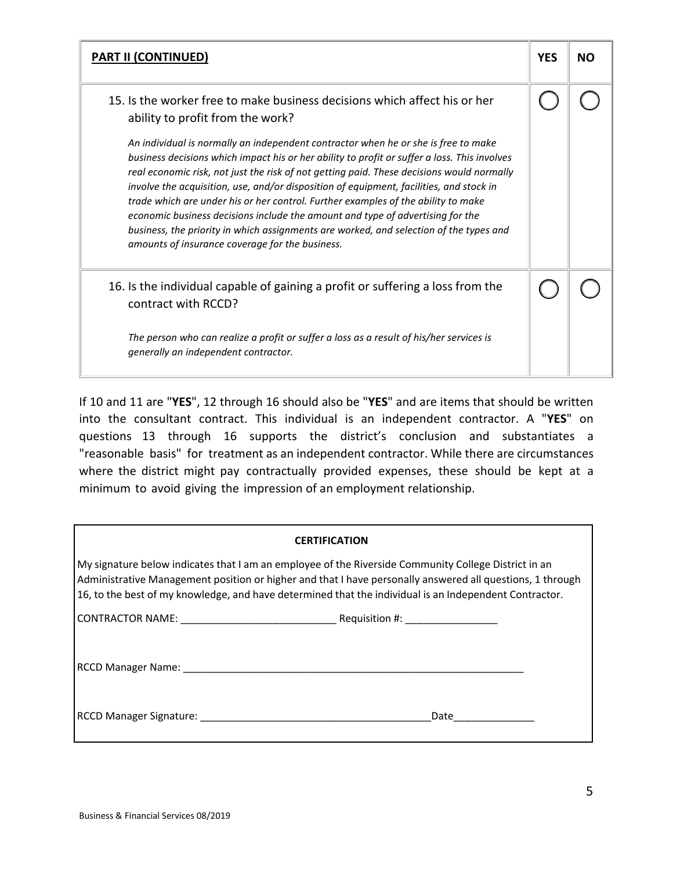| <b>PART II (CONTINUED)</b>                                                                                                                                                                                                                                                                                                                                                                                                                                                                                                                                                                                                                                                                     | <b>YES</b> | <b>NO</b> |
|------------------------------------------------------------------------------------------------------------------------------------------------------------------------------------------------------------------------------------------------------------------------------------------------------------------------------------------------------------------------------------------------------------------------------------------------------------------------------------------------------------------------------------------------------------------------------------------------------------------------------------------------------------------------------------------------|------------|-----------|
| 15. Is the worker free to make business decisions which affect his or her<br>ability to profit from the work?                                                                                                                                                                                                                                                                                                                                                                                                                                                                                                                                                                                  |            |           |
| An individual is normally an independent contractor when he or she is free to make<br>business decisions which impact his or her ability to profit or suffer a loss. This involves<br>real economic risk, not just the risk of not getting paid. These decisions would normally<br>involve the acquisition, use, and/or disposition of equipment, facilities, and stock in<br>trade which are under his or her control. Further examples of the ability to make<br>economic business decisions include the amount and type of advertising for the<br>business, the priority in which assignments are worked, and selection of the types and<br>amounts of insurance coverage for the business. |            |           |
| 16. Is the individual capable of gaining a profit or suffering a loss from the<br>contract with RCCD?                                                                                                                                                                                                                                                                                                                                                                                                                                                                                                                                                                                          |            |           |
| The person who can realize a profit or suffer a loss as a result of his/her services is<br>generally an independent contractor.                                                                                                                                                                                                                                                                                                                                                                                                                                                                                                                                                                |            |           |

If 10 and 11 are "**YES**", 12 through 16 should also be "**YES**" and are items that should be written into the consultant contract. This individual is an independent contractor. A "**YES**" on questions 13 through 16 supports the district's conclusion and substantiates a "reasonable basis" for treatment as an independent contractor. While there are circumstances where the district might pay contractually provided expenses, these should be kept at a minimum to avoid giving the impression of an employment relationship.

| <b>CERTIFICATION</b>                                                                                                                                                                                                                                                                                                        |      |  |
|-----------------------------------------------------------------------------------------------------------------------------------------------------------------------------------------------------------------------------------------------------------------------------------------------------------------------------|------|--|
| My signature below indicates that I am an employee of the Riverside Community College District in an<br>Administrative Management position or higher and that I have personally answered all questions, 1 through<br>16, to the best of my knowledge, and have determined that the individual is an Independent Contractor. |      |  |
|                                                                                                                                                                                                                                                                                                                             |      |  |
|                                                                                                                                                                                                                                                                                                                             |      |  |
| RCCD Manager Signature: National Accounts and the control of the control of the control of the control of the control of the control of the control of the control of the control of the control of the control of the control                                                                                              | Date |  |